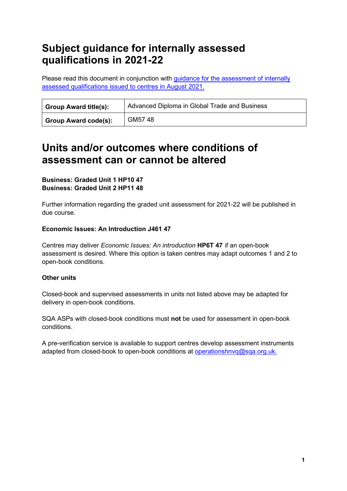# **Subject guidance for internally assessed qualifications in 2021-22**

Please read this document in conjunction with [guidance for the assessment of internally](https://www.sqa.org.uk/sqa/95044.html)  [assessed qualifications issued to centres in August 2021.](https://www.sqa.org.uk/sqa/95044.html)

| <b>Group Award title(s):</b> | Advanced Diploma in Global Trade and Business |
|------------------------------|-----------------------------------------------|
| <b>Group Award code(s):</b>  | GM5748                                        |

## **Units and/or outcomes where conditions of assessment can or cannot be altered**

### **Business: Graded Unit 1 HP10 47 Business: Graded Unit 2 HP11 48**

Further information regarding the graded unit assessment for 2021-22 will be published in due course.

### **Economic Issues: An Introduction J461 47**

Centres may deliver *Economic Issues: An introduction* **HP6T 47** if an open-book assessment is desired. Where this option is taken centres may adapt outcomes 1 and 2 to open-book conditions.

### **Other units**

Closed-book and supervised assessments in units not listed above may be adapted for delivery in open-book conditions.

SQA ASPs with closed-book conditions must **not** be used for assessment in open-book conditions.

A pre-verification service is available to support centres develop assessment instruments adapted from closed-book to open-book conditions at [operationshnvq@sqa.org.uk.](mailto:operationshnvq@sqa.org.uk)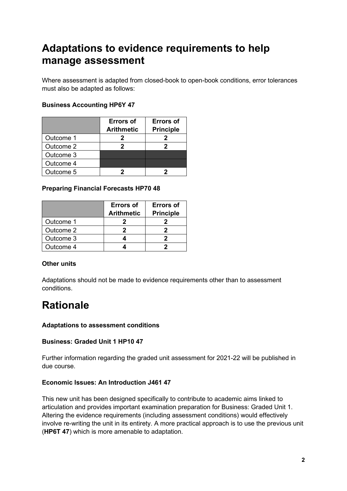# **Adaptations to evidence requirements to help manage assessment**

Where assessment is adapted from closed-book to open-book conditions, error tolerances must also be adapted as follows:

### **Business Accounting HP6Y 47**

|           | <b>Errors of</b><br><b>Arithmetic</b> | <b>Errors of</b><br><b>Principle</b> |
|-----------|---------------------------------------|--------------------------------------|
| Outcome 1 |                                       |                                      |
| Outcome 2 |                                       |                                      |
| Outcome 3 |                                       |                                      |
| Outcome 4 |                                       |                                      |
| Outcome 5 |                                       |                                      |

### **Preparing Financial Forecasts HP70 48**

|           | <b>Errors of</b><br><b>Arithmetic</b> | <b>Errors of</b><br><b>Principle</b> |
|-----------|---------------------------------------|--------------------------------------|
| Outcome 1 |                                       |                                      |
| Outcome 2 |                                       |                                      |
| Outcome 3 |                                       |                                      |
| Outcome 4 |                                       |                                      |

### **Other units**

Adaptations should not be made to evidence requirements other than to assessment conditions.

# **Rationale**

### **Adaptations to assessment conditions**

### **Business: Graded Unit 1 HP10 47**

Further information regarding the graded unit assessment for 2021-22 will be published in due course.

### **Economic Issues: An Introduction J461 47**

This new unit has been designed specifically to contribute to academic aims linked to articulation and provides important examination preparation for Business: Graded Unit 1. Altering the evidence requirements (including assessment conditions) would effectively involve re-writing the unit in its entirety. A more practical approach is to use the previous unit (**HP6T 47**) which is more amenable to adaptation.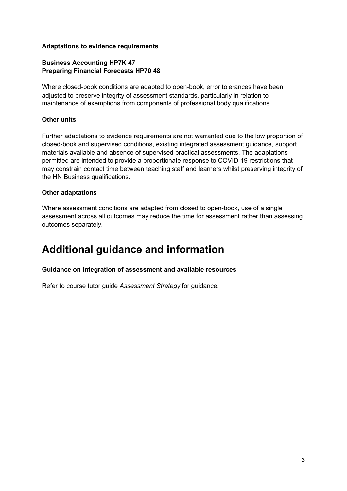#### **Adaptations to evidence requirements**

### **Business Accounting HP7K 47 Preparing Financial Forecasts HP70 48**

Where closed-book conditions are adapted to open-book, error tolerances have been adjusted to preserve integrity of assessment standards, particularly in relation to maintenance of exemptions from components of professional body qualifications.

### **Other units**

Further adaptations to evidence requirements are not warranted due to the low proportion of closed-book and supervised conditions, existing integrated assessment guidance, support materials available and absence of supervised practical assessments. The adaptations permitted are intended to provide a proportionate response to COVID-19 restrictions that may constrain contact time between teaching staff and learners whilst preserving integrity of the HN Business qualifications.

#### **Other adaptations**

Where assessment conditions are adapted from closed to open-book, use of a single assessment across all outcomes may reduce the time for assessment rather than assessing outcomes separately.

## **Additional guidance and information**

#### **Guidance on integration of assessment and available resources**

Refer to course tutor guide *Assessment Strategy* for guidance.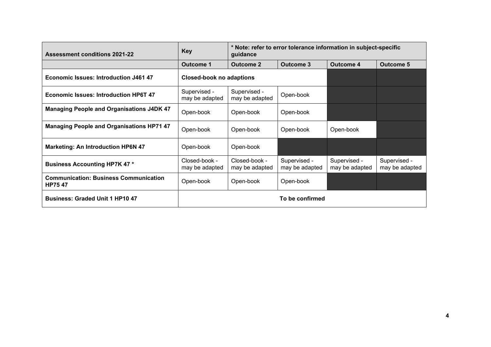| <b>Assessment conditions 2021-22</b>                          | <b>Key</b>                      | * Note: refer to error tolerance information in subject-specific<br>guidance |                                |                                |                                |
|---------------------------------------------------------------|---------------------------------|------------------------------------------------------------------------------|--------------------------------|--------------------------------|--------------------------------|
|                                                               | <b>Outcome 1</b>                | <b>Outcome 2</b>                                                             | Outcome 3                      | Outcome 4                      | <b>Outcome 5</b>               |
| <b>Economic Issues: Introduction J461 47</b>                  | <b>Closed-book no adaptions</b> |                                                                              |                                |                                |                                |
| <b>Economic Issues: Introduction HP6T 47</b>                  | Supervised -<br>may be adapted  | Supervised -<br>may be adapted                                               | Open-book                      |                                |                                |
| <b>Managing People and Organisations J4DK 47</b>              | Open-book                       | Open-book                                                                    | Open-book                      |                                |                                |
| <b>Managing People and Organisations HP71 47</b>              | Open-book                       | Open-book                                                                    | Open-book                      | Open-book                      |                                |
| <b>Marketing: An Introduction HP6N 47</b>                     | Open-book                       | Open-book                                                                    |                                |                                |                                |
| <b>Business Accounting HP7K 47 *</b>                          | Closed-book -<br>may be adapted | Closed-book -<br>may be adapted                                              | Supervised -<br>may be adapted | Supervised -<br>may be adapted | Supervised -<br>may be adapted |
| <b>Communication: Business Communication</b><br><b>HP7547</b> | Open-book                       | Open-book                                                                    | Open-book                      |                                |                                |
| <b>Business: Graded Unit 1 HP10 47</b>                        |                                 |                                                                              | To be confirmed                |                                |                                |